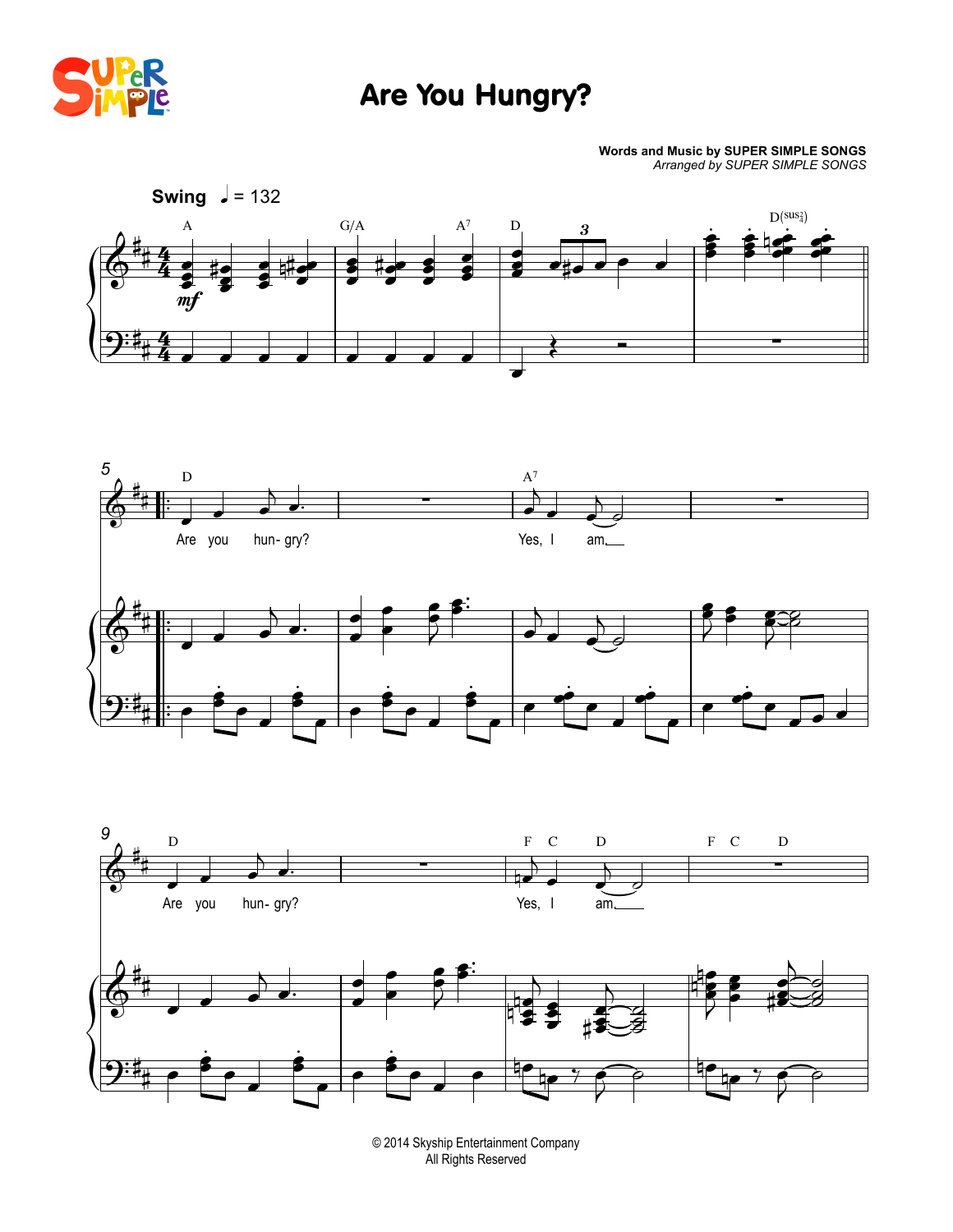

## Are You Hungry?

**Words and Music by SUPER SIMPLE SONGS** *Arranged by SUPER SIMPLE SONGS*





© 2014 Skyship Entertainment Company All Rights Reserved